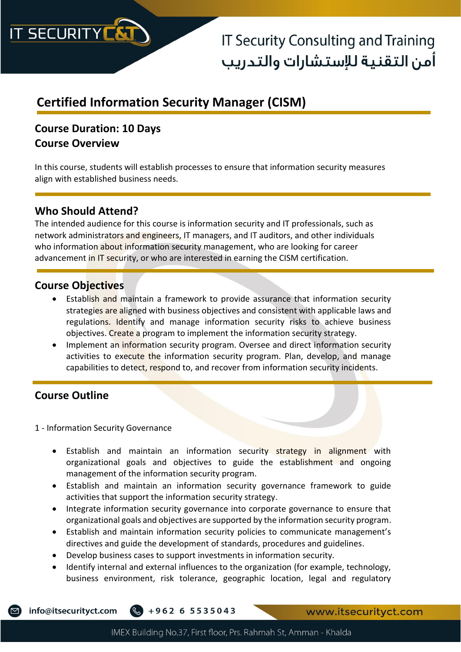

## **Certified Information Security Manager (CISM)**

### **Course Duration: 10 Days Course Overview**

In this course, students will establish processes to ensure that information security measures align with established business needs.

### **Who Should Attend?**

The intended audience for this course is information security and IT professionals, such as network administrators and engineers, IT managers, and IT auditors, and other individuals who information about information security management, who are looking for career advancement in IT security, or who are interested in earning the CISM certification.

### **Course Objectives**

- Establish and maintain a framework to provide assurance that information security strategies are aligned with business objectives and consistent with applicable laws and regulations. Identify and manage information security risks to achieve business objectives. Create a program to implement the information security strategy.
- Implement an information security program. Oversee and direct information security activities to execute the information security program. Plan, develop, and manage capabilities to detect, respond to, and recover from information security incidents.

### **Course Outline**

1 - Information Security Governance

- Establish and maintain an information security strategy in alignment with organizational goals and objectives to guide the establishment and ongoing management of the information security program.
- Establish and maintain an information security governance framework to guide activities that support the information security strategy.
- Integrate information security governance into corporate governance to ensure that organizational goals and objectives are supported by the information security program.
- Establish and maintain information security policies to communicate management's directives and guide the development of standards, procedures and guidelines.
- Develop business cases to support investments in information security.
- Identify internal and external influences to the organization (for example, technology, business environment, risk tolerance, geographic location, legal and regulatory

info@itsecurityct.com  $\frac{1}{2} + 962655535043$ 

www.itsecurityct.com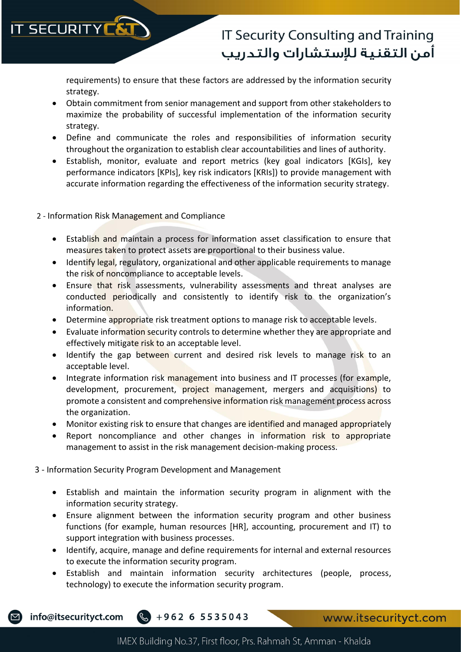

requirements) to ensure that these factors are addressed by the information security strategy.

- Obtain commitment from senior management and support from other stakeholders to maximize the probability of successful implementation of the information security strategy.
- Define and communicate the roles and responsibilities of information security throughout the organization to establish clear accountabilities and lines of authority.
- Establish, monitor, evaluate and report metrics (key goal indicators [KGIs], key performance indicators [KPIs], key risk indicators [KRIs]) to provide management with accurate information regarding the effectiveness of the information security strategy.
- 2 Information Risk Management and Compliance
	- Establish and maintain a process for information asset classification to ensure that measures taken to protect assets are proportional to their business value.
	- Identify legal, regulatory, organizational and other applicable requirements to manage the risk of noncompliance to acceptable levels.
	- Ensure that risk assessments, vulnerability assessments and threat analyses are conducted periodically and consistently to identify risk to the organization's information.
	- Determine appropriate risk treatment options to manage risk to acceptable levels.
	- Evaluate information security controls to determine whether they are appropriate and effectively mitigate risk to an acceptable level.
	- Identify the gap between current and desired risk levels to manage risk to an acceptable level.
	- Integrate information risk management into business and IT processes (for example, development, procurement, project management, mergers and acquisitions) to promote a consistent and comprehensive information risk management process across the organization.
	- Monitor existing risk to ensure that changes are identified and managed appropriately
	- Report noncompliance and other changes in information risk to appropriate management to assist in the risk management decision-making process.
- 3 Information Security Program Development and Management
	- Establish and maintain the information security program in alignment with the information security strategy.
	- Ensure alignment between the information security program and other business functions (for example, human resources [HR], accounting, procurement and IT) to support integration with business processes.
	- Identify, acquire, manage and define requirements for internal and external resources to execute the information security program.
	- Establish and maintain information security architectures (people, process, technology) to execute the information security program.



info@itsecurityct.com  $\frac{1}{2} + 962655535043$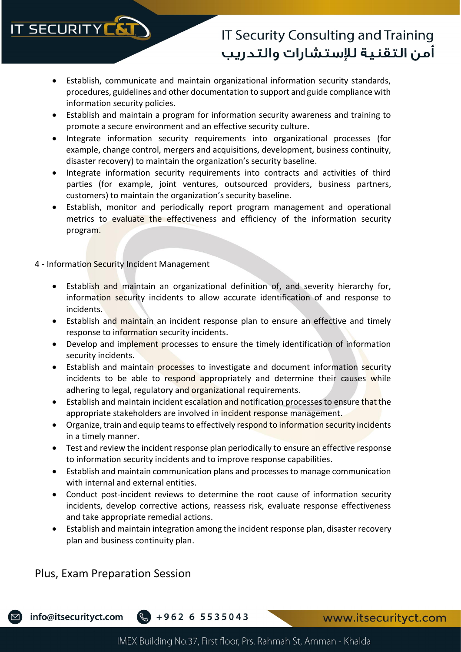# **IT SECURITY**

## **IT Security Consulting and Training** أمن التقنية للإستشارات والتدريب

- Establish, communicate and maintain organizational information security standards, procedures, guidelines and other documentation to support and guide compliance with information security policies.
- Establish and maintain a program for information security awareness and training to promote a secure environment and an effective security culture.
- Integrate information security requirements into organizational processes (for example, change control, mergers and acquisitions, development, business continuity, disaster recovery) to maintain the organization's security baseline.
- Integrate information security requirements into contracts and activities of third parties (for example, joint ventures, outsourced providers, business partners, customers) to maintain the organization's security baseline.
- Establish, monitor and periodically report program management and operational metrics to evaluate the effectiveness and efficiency of the information security program.

#### 4 - Information Security Incident Management

- Establish and maintain an organizational definition of, and severity hierarchy for, information security incidents to allow accurate identification of and response to incidents.
- Establish and maintain an incident response plan to ensure an effective and timely response to information security incidents.
- Develop and implement processes to ensure the timely identification of information security incidents.
- Establish and maintain processes to investigate and document information security incidents to be able to respond appropriately and determine their causes while adhering to legal, regulatory and organizational requirements.
- Establish and maintain incident escalation and notification processes to ensure that the appropriate stakeholders are involved in incident response management.
- Organize, train and equip teams to effectively respond to information security incidents in a timely manner.
- Test and review the incident response plan periodically to ensure an effective response to information security incidents and to improve response capabilities.
- Establish and maintain communication plans and processes to manage communication with internal and external entities.
- Conduct post-incident reviews to determine the root cause of information security incidents, develop corrective actions, reassess risk, evaluate response effectiveness and take appropriate remedial actions.
- Establish and maintain integration among the incident response plan, disaster recovery plan and business continuity plan.

### Plus, Exam Preparation Session



info@itsecurityct.com  $\frac{1}{2} + 962655535043$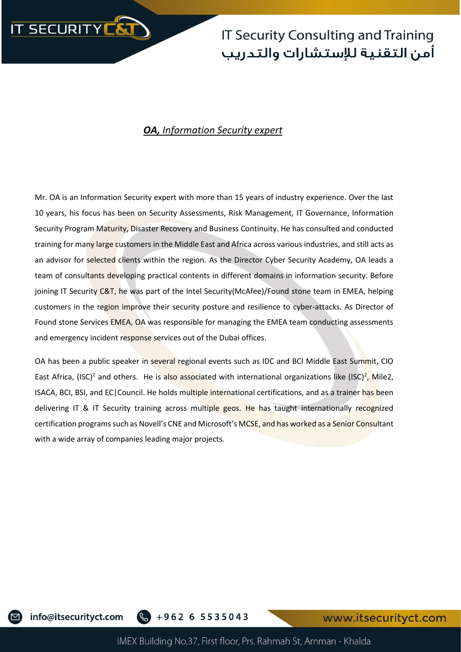

### *OA, Information Security expert*

Mr. OA is an Information Security expert with more than 15 years of industry experience. Over the last 10 years, his focus has been on Security Assessments, Risk Management, IT Governance, Information Security Program Maturity, Disaster Recovery and Business Continuity. He has consulted and conducted training for many large customers in the Middle East and Africa across various industries, and still acts as an advisor for selected clients within the region. As the Director Cyber Security Academy, OA leads a team of consultants developing practical contents in different domains in information security. Before joining IT Security C&T, he was part of the Intel Security(McAfee)/Found stone team in EMEA, helping customers in the region improve their security posture and resilience to cyber-attacks. As Director of Found stone Services EMEA, OA was responsible for managing the EMEA team conducting assessments and emergency incident response services out of the Dubai offices.

OA has been a public speaker in several regional events such as IDC and BCI Middle East Summit, CIO East Africa, (ISC)<sup>2</sup> and others. He is also associated with international organizations like (ISC)<sup>2</sup>, Mile2, ISACA, BCI, BSI, and EC|Council. He holds multiple international certifications, and as a trainer has been delivering IT & IT Security training across multiple geos. He has taught internationally recognized certification programs such as Novell's CNE and Microsoft's MCSE, and has worked as a Senior Consultant with a wide array of companies leading major projects.

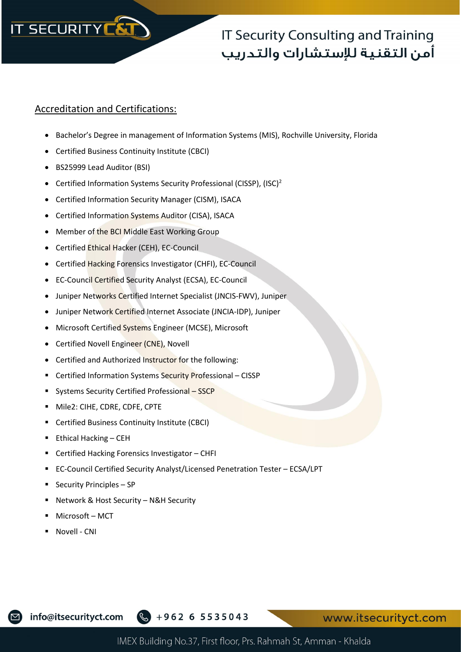

#### Accreditation and Certifications:

- Bachelor's Degree in management of Information Systems (MIS), Rochville University, Florida
- Certified Business Continuity Institute (CBCI)
- BS25999 Lead Auditor (BSI)
- Certified Information Systems Security Professional (CISSP), (ISC)<sup>2</sup>
- Certified Information Security Manager (CISM), ISACA
- Certified Information Systems Auditor (CISA), ISACA
- Member of the BCI Middle East Working Group
- Certified Ethical Hacker (CEH), EC-Council
- Certified Hacking Forensics Investigator (CHFI), EC-Council
- EC-Council Certified Security Analyst (ECSA), EC-Council
- Juniper Networks Certified Internet Specialist (JNCIS-FWV), Juniper
- Juniper Network Certified Internet Associate (JNCIA-IDP), Juniper
- Microsoft Certified Systems Engineer (MCSE), Microsoft
- Certified Novell Engineer (CNE), Novell
- Certified and Authorized Instructor for the following:
- Certified Information Systems Security Professional CISSP
- Systems Security Certified Professional SSCP
- Mile2: CIHE, CDRE, CDFE, CPTE
- Certified Business Continuity Institute (CBCI)
- Ethical Hacking CEH
- Certified Hacking Forensics Investigator CHFI
- EC-Council Certified Security Analyst/Licensed Penetration Tester ECSA/LPT
- **Security Principles SP**
- Network & Host Security N&H Security
- Microsoft MCT
- Novell CNI

info@itsecurityct.com

+962 6 5535043

www.itsecurityct.com